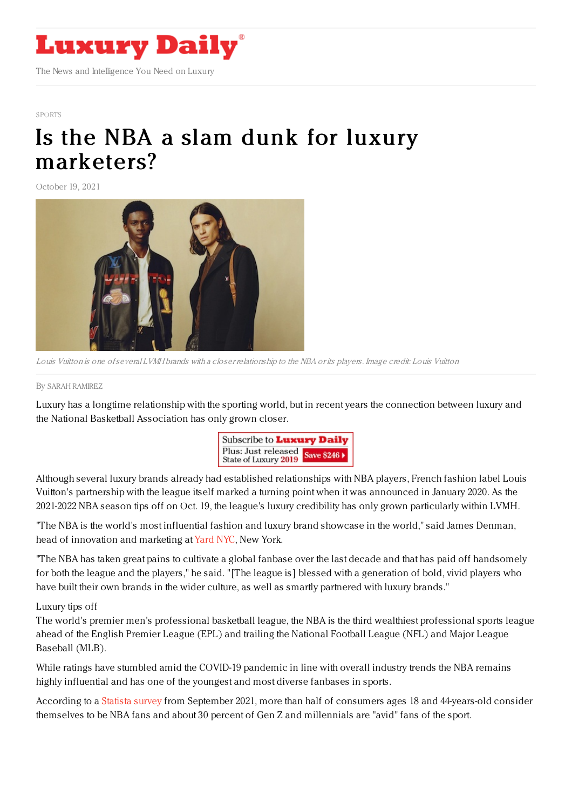

#### [SPORTS](https://www.luxurydaily.com/category/sectors/sports/)

# Is the NBA a slam dunk for luxury [marketers?](https://www.luxurydaily.com/?p=338768)

October 19, 2021



Louis Vuitton is one ofseveral LVMH brands with <sup>a</sup> closer relationship to the NBA or its players. Image credit: Louis Vuitton

#### By SARAH [RAMIREZ](file:///author/sarah-ramirez)

Luxury has a longtime relationship with the sporting world, but in recent years the connection between luxury and the National Basketball Association has only grown closer.



Although several luxury brands already had established relationships with NBA players, French fashion label Louis Vuitton's partnership with the league itself marked a turning point when it was announced in January 2020. As the 2021-2022 NBA season tips off on Oct. 19, the league's luxury credibility has only grown particularly within LVMH.

"The NBA is the world's most influential fashion and luxury brand showcase in the world," said James Denman, head of innovation and marketing at [Yard](https://yardnyc.com/) NYC, New York.

"The NBA has taken great pains to cultivate a global fanbase over the last decade and that has paid off handsomely for both the league and the players," he said. "[The league is] blessed with a generation of bold, vivid players who have built their own brands in the wider culture, as well as smartly partnered with luxury brands."

## Luxury tips off

The world's premier men's professional basketball league, the NBA is the third wealthiest professional sports league ahead of the English Premier League (EPL) and trailing the National Football League (NFL) and Major League Baseball (MLB).

While ratings have stumbled amid the COVID-19 pandemic in line with overall industry trends the NBA remains highly influential and has one of the youngest and most diverse fanbases in sports.

According to a [Statista](https://www.statista.com/statistics/1098395/national-basketball-association-interest-age/) survey from September 2021, more than half of consumers ages 18 and 44-years-old consider themselves to be NBA fans and about 30 percent of Gen Z and millennials are "avid" fans of the sport.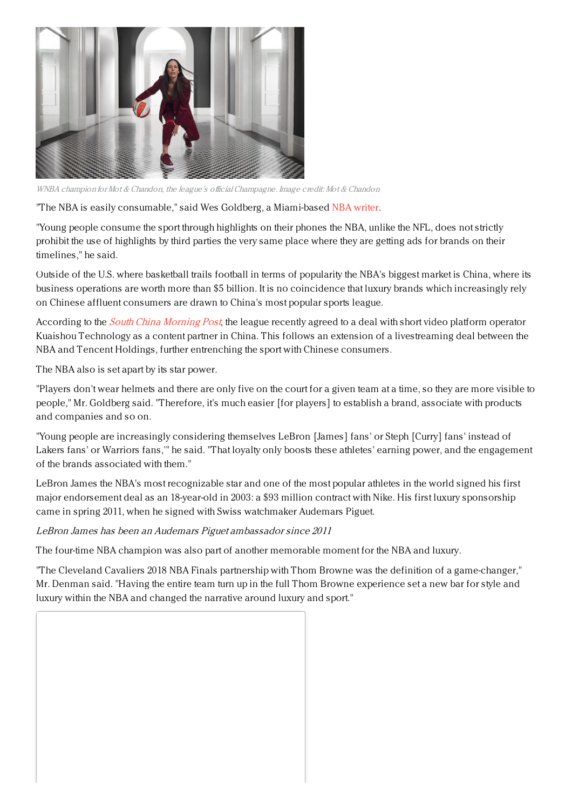

WNBA champion for Mot & Chandon, the league's official Champagne. Image credit: Mot & Chandon

"The NBA is easily consumable," said Wes Goldberg, a Miami-based NBA [writer](https://wesgoldberg.substack.com/).

"Young people consume the sport through highlights on their phones the NBA, unlike the NFL, does not strictly prohibit the use of highlights by third parties the very same place where they are getting ads for brands on their timelines," he said.

Outside of the U.S. where basketball trails football in terms of popularity the NBA's biggest market is China, where its business operations are worth more than \$5 billion. It is no coincidence that luxury brands which increasingly rely on Chinese affluent consumers are drawn to China's most popular sports league.

According to the *South China [Morning](https://www.scmp.com/tech/article/3152742/nba-picks-kuaishou-short-video-content-partner-latest-attempt-sport-move-china) Post*, the league recently agreed to a deal with short video platform operator Kuaishou Technology as a content partner in China. This follows an extension of a livestreaming deal between the NBA and Tencent Holdings, further entrenching the sport with Chinese consumers.

The NBA also is set apart by its star power.

"Players don't wear helmets and there are only five on the court for a given team at a time, so they are more visible to people," Mr. Goldberg said. "Therefore, it's much easier [for players] to establish a brand, associate with products and companies and so on.

"Young people are increasingly considering themselves LeBron [James] fans' or Steph [Curry] fans' instead of Lakers fans' or Warriors fans,'" he said. "That loyalty only boosts these athletes' earning power, and the engagement of the brands associated with them."

LeBron James the NBA's most recognizable star and one of the most popular athletes in the world signed his first major endorsement deal as an 18-year-old in 2003: a \$93 million contract with Nike. His first luxury sponsorship came in spring 2011, when he signed with Swiss watchmaker Audemars Piguet.

LeBron James has been an Audemars Piguet ambassador since 2011

The four-time NBA champion was also part of another memorable moment for the NBA and luxury.

"The Cleveland Cavaliers 2018 NBA Finals partnership with Thom Browne was the definition of a game-changer," Mr. Denman said. "Having the entire team turn up in the full Thom Browne experience set a new bar for style and luxury within the NBA and changed the narrative around luxury and sport."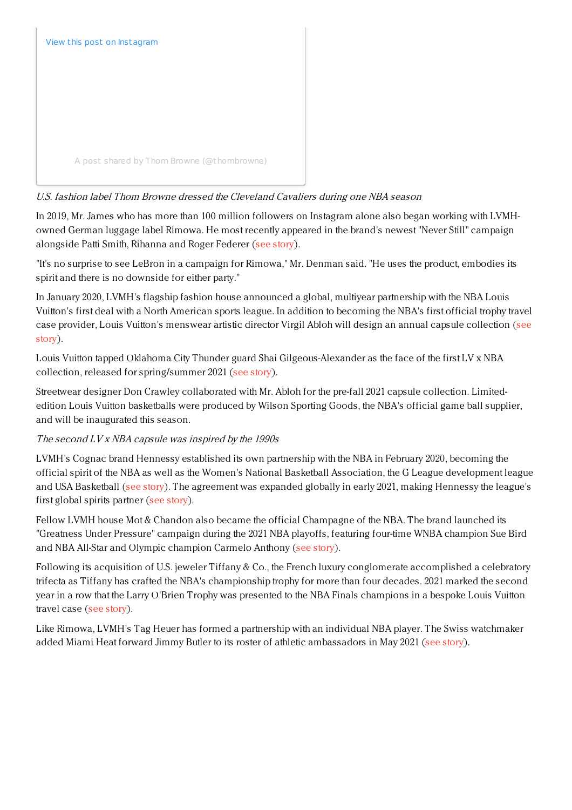

# U.S. fashion label Thom Browne dressed the Cleveland Cavaliers during one NBA season

In 2019, Mr. James who has more than 100 million followers on Instagram alone also began working with LVMHowned German luggage label Rimowa. He most recently appeared in the brand's newest "Never Still" campaign alongside Patti Smith, Rihanna and Roger Federer (see [story](https://www.luxurydaily.com/rimowa-never-still-campaign-2021/)).

"It's no surprise to see LeBron in a campaign for Rimowa," Mr. Denman said. "He uses the product, embodies its spirit and there is no downside for either party."

In January 2020, LVMH's flagship fashion house announced a global, multiyear partnership with the NBA Louis Vuitton's first deal with a North American sports league. In addition to becoming the NBA's first official trophy travel case provider, Louis Vuitton's [menswear](https://www.luxurydaily.com/louis-vuitton-looks-to-score-more-sports-fans-in-nba-alliance/) artistic director Virgil Abloh will design an annual capsule collection (see story).

Louis Vuitton tapped Oklahoma City Thunder guard Shai Gilgeous-Alexander as the face of the first LV x NBA collection, released for spring/summer 2021 (see [story](https://www.luxurydaily.com/louis-vuitton-nba-capsule-collection/)).

Streetwear designer Don Crawley collaborated with Mr. Abloh for the pre-fall 2021 capsule collection. Limitededition Louis Vuitton basketballs were produced by Wilson Sporting Goods, the NBA's official game ball supplier, and will be inaugurated this season.

# The second LV <sup>x</sup> NBA capsule was inspired by the 1990s

LVMH's Cognac brand Hennessy established its own partnership with the NBA in February 2020, becoming the official spirit of the NBA as well as the Women's National Basketball Association, the G League development league and USA Basketball (see [story](https://www.luxurydaily.com/lvmhs-hennessy-cognac-signs-deal-to-become-official-spirits-partner-of-nba/)). The agreement was expanded globally in early 2021, making Hennessy the league's first global spirits partner (see [story](https://www.luxurydaily.com/hennessy-nba-global-partnership/)).

Fellow LVMH house Mot & Chandon also became the official Champagne of the NBA. The brand launched its "Greatness Under Pressure" campaign during the 2021 NBA playoffs, featuring four-time WNBA champion Sue Bird and NBA All-Star and Olympic champion Carmelo Anthony (see [story](https://www.luxurydaily.com/moet-chandon-nba/)).

Following its acquisition of U.S. jeweler Tiffany & Co., the French luxury conglomerate accomplished a celebratory trifecta as Tiffany has crafted the NBA's championship trophy for more than four decades. 2021 marked the second year in a row that the Larry O'Brien Trophy was presented to the NBA Finals champions in a bespoke Louis Vuitton travel case (see [story](https://www.luxurydaily.com/nba-finals-lmvh-louis-vuitton/)).

Like Rimowa, LVMH's Tag Heuer has formed a partnership with an individual NBA player. The Swiss watchmaker added Miami Heat forward Jimmy Butler to its roster of athletic ambassadors in May 2021 (see [story](https://www.luxurydaily.com/tag-heuer-taps-nba-star-as-new-ambassador/)).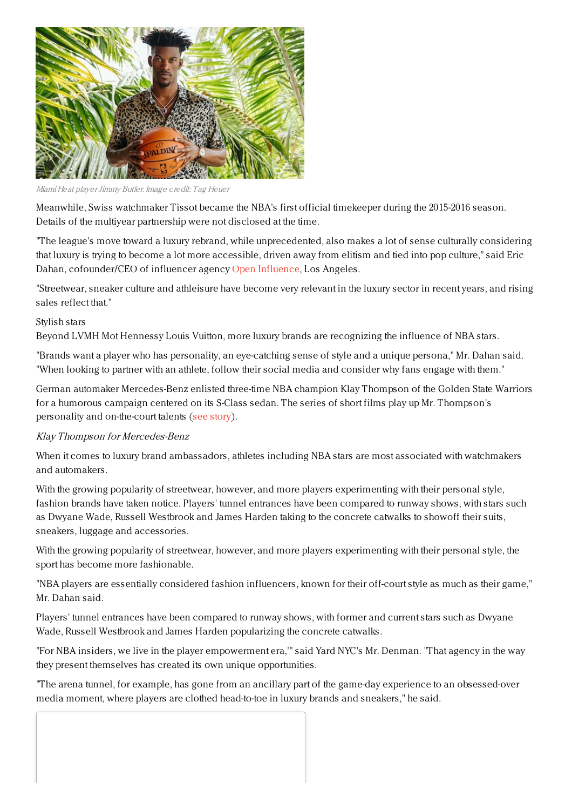

Miami Heat playerJimmy Butler. Image credit: Tag Heuer

Meanwhile, Swiss watchmaker Tissot became the NBA's first official timekeeper during the 2015-2016 season. Details of the multiyear partnership were not disclosed at the time.

"The league's move toward a luxury rebrand, while unprecedented, also makes a lot of sense culturally considering that luxury is trying to become a lot more accessible, driven away from elitism and tied into pop culture," said Eric Dahan, cofounder/CEO of influencer agency Open [Influence](https://openinfluence.com/), Los Angeles.

"Streetwear, sneaker culture and athleisure have become very relevant in the luxury sector in recent years, and rising sales reflect that."

## Stylish stars

Beyond LVMH Mot Hennessy Louis Vuitton, more luxury brands are recognizing the influence of NBA stars.

"Brands want a player who has personality, an eye-catching sense of style and a unique persona," Mr. Dahan said. "When looking to partner with an athlete, follow their social media and consider why fans engage with them."

German automaker Mercedes-Benz enlisted three-time NBA champion Klay Thompson of the Golden State Warriors for a humorous campaign centered on its S-Class sedan. The series of short films play up Mr. Thompson's personality and on-the-court talents (see [story](https://www.luxurydaily.com/nba-star-illustrates-many-s-class-abilities-in-new-campaign/)).

## Klay Thompson for Mercedes-Benz

When it comes to luxury brand ambassadors, athletes including NBA stars are most associated with watchmakers and automakers.

With the growing popularity of streetwear, however, and more players experimenting with their personal style, fashion brands have taken notice. Players' tunnel entrances have been compared to runway shows, with stars such as Dwyane Wade, Russell Westbrook and James Harden taking to the concrete catwalks to showoff their suits, sneakers, luggage and accessories.

With the growing popularity of streetwear, however, and more players experimenting with their personal style, the sport has become more fashionable.

"NBA players are essentially considered fashion influencers, known for their off-court style as much as their game," Mr. Dahan said.

Players' tunnel entrances have been compared to runway shows, with former and current stars such as Dwyane Wade, Russell Westbrook and James Harden popularizing the concrete catwalks.

"For NBA insiders, we live in the player empowerment era,'" said Yard NYC's Mr. Denman. "That agency in the way they present themselves has created its own unique opportunities.

"The arena tunnel, for example, has gone from an ancillary part of the game-day experience to an obsessed-over media moment, where players are clothed head-to-toe in luxury brands and sneakers," he said.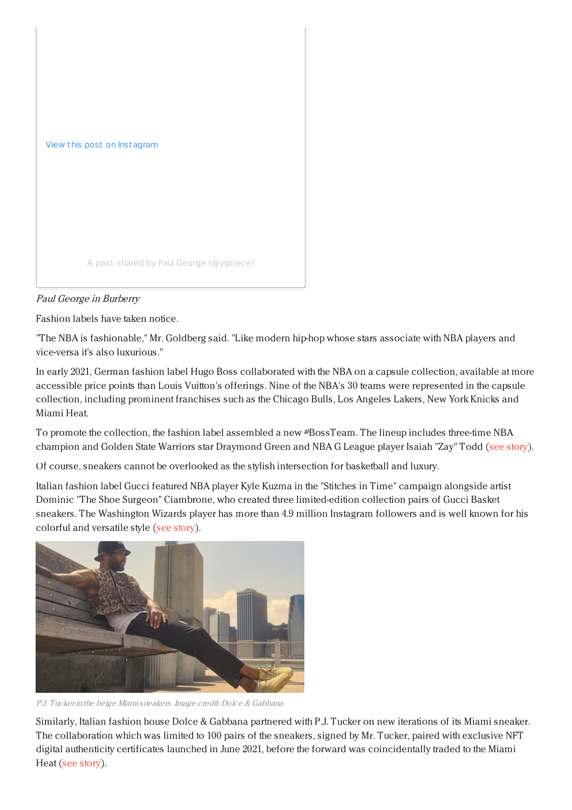

# Paul George in Burberry

Fashion labels have taken notice.

"The NBA is fashionable," Mr. Goldberg said. "Like modern hip-hop whose stars associate with NBA players and vice-versa it's also luxurious."

In early 2021, German fashion label Hugo Boss collaborated with the NBA on a capsule collection, available at more accessible price points than Louis Vuitton's offerings. Nine of the NBA's 30 teams were represented in the capsule collection, including prominent franchises such as the Chicago Bulls, Los Angeles Lakers, New York Knicks and Miami Heat.

To promote the collection, the fashion label assembled a new #BossTeam. The lineup includes three-time NBA champion and Golden State Warriors star Draymond Green and NBA G League player Isaiah "Zay" Todd (see [story](https://www.luxurydaily.com/hugo-boss-nba-capsule/)).

Of course, sneakers cannot be overlooked as the stylish intersection for basketball and luxury.

Italian fashion label Gucci featured NBA player Kyle Kuzma in the "Stitches in Time" campaign alongside artist Dominic "The Shoe Surgeon" Ciambrone, who created three limited-edition collection pairs of Gucci Basket sneakers. The Washington Wizards player has more than 4.9 million Instagram followers and is well known for his colorful and versatile style (see [story](https://www.luxurydaily.com/gucci-examines-streetwear-in-basketball-inspired-series/)).



P.J. Tucker in the beige Miamisneakers. Image credit: Dolce & Gabbana

Similarly, Italian fashion house Dolce & Gabbana partnered with P.J. Tucker on new iterations of its Miami sneaker. The collaboration which was limited to 100 pairs of the sneakers, signed by Mr. Tucker, paired with exclusive NFT digital authenticity certificates launched in June 2021, before the forward was coincidentally traded to the Miami Heat (see [story](https://www.luxurydaily.com/dolce-gabbana-pj-tucker/)).